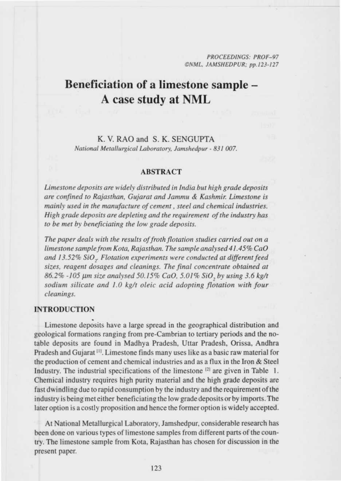PROCEEDINGS: PROF-97 ONML. JAMSHEDPUR; pp.123-127

# **Beneficiation of a limestone sample -** A case study at NML

# K. V. RAO and S. K. SENGUPTA *National Metallurgical Laboratory, Jamshedpur - 831 007.*

#### ABSTRACT

*Limestone deposits are widely distributed in India but* high *grade deposits are confined to Rajasthan, Gujarat and Jammu & Kashmir. Limestone is mainly used in the manufacture of cement, steel and chemical industries. High grade deposits are depleting and the requirement of the industry* has *to be met by beneficiating the low grade deposits.*

*The paper deals with the results of froth flotation studies carried out on a limestone sample from Kota, Rajasthan. The sample analysed 41.45% CaO and 13.52% SiO,. Flotation experiments were conducted at different feed sizes, reagent dosages and cleanings. The final concentrate obtained at 86.2% -105 pm size* analysed *50.15% CaO. 5.01% SiO, by using* 3.6 kg/t *sodium silicate and 1.0 kg/t oleic acid adopting flotation with four cleanings.*

## **INTRODUCTION**

Limestone deposits have a large spread in the geographical distribution and geological formations ranging from pre-Cambrian to tertiary periods and the notable deposits are found in Madhya Pradesh, Uttar Pradesh, Orissa. Andhra Pradesh and Gujarat 1". Limestone finds many uses like as a basic raw material for the production of cement and chemical industries and as a flux in the Iron  $&$  Steel Industry. The industrial specifications of the limestone <sup>[2]</sup> are given in Table 1. Chemical industry requires high purity material and the high grade deposits are fast dwindling due to rapid consumption by the industry and the requirement of the industry is being met either heneficiating the low grade deposits or by imports. The later option is a costly proposition and hence the former option is widely accepted.

At National Metallurgical Laboratory, Jamshedpur. considerable research has been done on various types of limestone samples from different parts of the country. The limestone sample from Kota, Rajasthan has chosen for discussion in the present paper.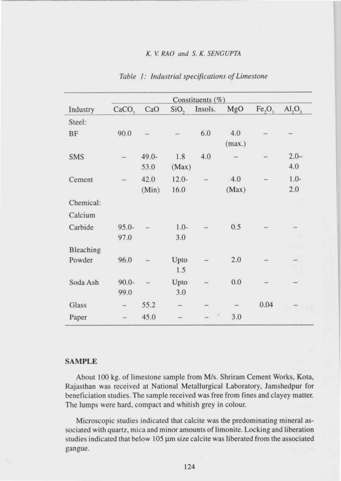|            |                   |          |                  | Constituents (%) |        |                                |                    |
|------------|-------------------|----------|------------------|------------------|--------|--------------------------------|--------------------|
| Industry   | CaCO <sub>2</sub> | CaO      | SiO <sub>2</sub> | Insols.          | MgO    | Fe <sub>2</sub> O <sub>3</sub> | AI, O <sub>3</sub> |
| Steel:     |                   |          |                  |                  |        |                                |                    |
| BF         | 90.0              |          |                  | 6.0              | 4.0    |                                |                    |
|            |                   |          |                  |                  | (max.) |                                | o.                 |
| <b>SMS</b> |                   | $49.0 -$ | 1.8              | 4.0              |        |                                | $2.0 -$            |
|            |                   | 53.0     | (Max)            |                  |        |                                | 4.0                |
| Cement     |                   | 42.0     | $12.0 -$         |                  | 4.0    |                                | $1.0-$             |
|            |                   | (Min)    | 16.0             |                  | (Max)  |                                | 2.0                |
| Chemical:  |                   |          |                  |                  |        |                                |                    |
| Calcium    |                   |          |                  |                  |        |                                |                    |
| Carbide    | $95.0 -$          |          | $1.0 -$          |                  | 0.5    |                                |                    |
|            | 97.0              |          | 3.0              |                  |        |                                |                    |
| Bleaching  |                   |          |                  |                  |        |                                |                    |
| Powder     | 96.0              |          | Upto             |                  | 2.0    |                                |                    |
|            |                   |          | 1.5              |                  |        |                                |                    |
| Soda Ash   | $90.0 -$          |          | Upto             |                  | 0.0    |                                |                    |
|            | 99.0              |          | 3.0              |                  |        |                                |                    |
| Glass      |                   | 55.2     | -                |                  |        | 0.04                           |                    |
| Paper      |                   | 45.0     |                  | $\epsilon$       | 3.0    |                                |                    |

Table **I: Industrial specifications of Limestone**

#### SAMPLE

About 100 kg. of limestone sample from M/s. Shriram Cement Works, Kota, Rajasthan was received at National Metallurgical Laboratory, Jamshedpur for heneficiation studies. The sample received was free from fines and clayey matter. The lumps were hard, compact and whitish grey in colour.

Microscopic studies indicated that calcite **was the predominating mineral as**sociated with quartz, mica and minor **amounts of limonite** . Locking and **liberation** studies indicated that below  $105 \mu m$  size calcite was liberated from the associated gangue.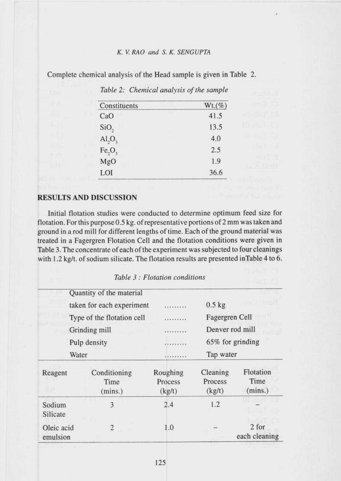| $Wt.$ (%) |
|-----------|
| 41.5      |
| 13.5      |
| 4.0       |
| 2.5       |
| 1.9       |
| 36.6      |
| $-10$     |

Complete chemical analysis of the Head sample is given in Table 2.

*Table 2: Chemical analysis of the sample*

#### RESULTS AND DISCUSSION

Initial flotation studies were conducted to determine optimum feed size for flotation. For this purpose 0.5 kg. of representative portions of 2 mm was taken and ground in a rod mill for different lengths of time. Each of the ground material was treated in a Fagergren Flotation Cell and the flotation conditions were given in Table 3. The concentrate of each of the experiment was subjected to four cleanings with 1.2 kg/t. of sodium silicate. The flotation results are presented inTable 4 to 6.

|                        | Quantity of the material        |                               |                               |                              |
|------------------------|---------------------------------|-------------------------------|-------------------------------|------------------------------|
|                        | taken for each experiment       |                               | $0.5$ kg                      | <b>DECLIP</b> 1988           |
|                        | Type of the flotation cell      | *********                     | Fagergren Cell                |                              |
|                        | Grinding mill                   | .                             | Denver rod mill               |                              |
|                        | Pulp density                    | .                             |                               | 65% for grinding             |
|                        | Water                           | .                             | Tap water                     |                              |
| Reagent                | Conditioning<br>Time<br>(mins.) | Roughing<br>Process<br>(kg/t) | Cleaning<br>Process<br>(kg/t) | Flotation<br>Time<br>(mins.) |
| Sodium<br>Silicate     | 3                               | 2.4                           | 1.2                           |                              |
| Oleic acid<br>emulsion | $\overline{2}$                  | 1.0                           |                               | 2 for<br>each cleaning       |

Table 3 : Flotation conditions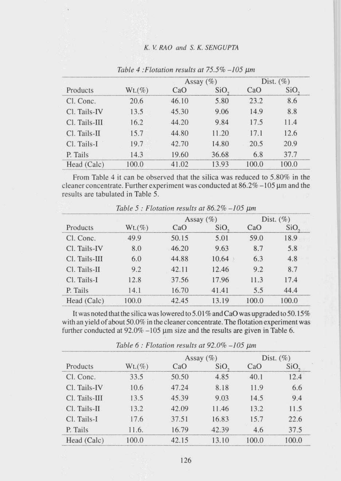|               |           |       | Assay $(\% )$ | Dist. $(\%)$ |       |
|---------------|-----------|-------|---------------|--------------|-------|
| Products      | $Wt.(\%)$ | CaO   | SiO,          | CaO          | SiO,  |
| Cl. Conc.     | 20.6      | 46.10 | 5.80          | 23.2         | 8.6   |
| Cl. Tails-IV  | 13.5      | 45.30 | 9.06          | 14.9         | 8.8   |
| Cl. Tails-III | 16.2      | 44.20 | 9.84          | 17.5         | 11.4  |
| Cl. Tails-II  | 15.7      | 44.80 | 11.20         | 17.1         | 12.6  |
| Cl. Tails-I   | 19.7      | 42.70 | 14.80         | 20.5         | 20.9  |
| P. Tails      | 14.3      | 19.60 | 36.68         | 6.8          | 37.7  |
| Head (Calc)   | 100.0     | 41.02 | 13.93         | 100.0        | 100.0 |

Table 4 **:Flotation results at** 75.5% -105,urn

From Table 4 it can be observed that the silica was reduced to 5.80% in the cleaner concentrate. Further experiment was conducted at  $86.2\% -105 \,\mu m$  and the results are tabulated in Table 5.

| Products      |           |       | Assay $(\%)$ | Dist. $(\%)$ |                  |
|---------------|-----------|-------|--------------|--------------|------------------|
|               | $Wt.(\%)$ | CaO   | SiO,         | CaO          | SiO <sub>2</sub> |
| Cl. Conc.     | 49.9      | 50.15 | 5.01         | 59.0         | 18.9             |
| Cl. Tails-IV  | 8.0       | 46.20 | 9.63         | 8.7          | 5.8              |
| Cl. Tails-III | 6.0       | 44.88 | 10.64        | 6.3          | 4.8              |
| Cl. Tails-II  | 9.2       | 42.11 | 12.46        | 9.2          | 8.7              |
| Cl. Tails-I   | 12.8      | 37.56 | 17.96        | 11.3         | 17.4             |
| P. Tails      | 14.1      | 16.70 | 41.41        | 5.5          | 44.4             |
| Head (Calc)   | 100.0     | 42.45 | 13.19        | 100.0        | 100.0            |

Table 5 : Flotation results at  $86.2\% - 105$  um

It was noted that the silica was lowered to 5.01 % and CaO was upgraded to 50.15% with an yield of about 50.0% in the cleaner concentrate. The flotation experiment was further conducted at  $92.0\% -105 \mu m$  size and the results are given in Table 6.

| Products      |           |       | Assay $(\%)$     | Dist. $(\%)$ |       |
|---------------|-----------|-------|------------------|--------------|-------|
|               | $Wt.$ (%) | CaO   | SiO <sub>2</sub> | CaO          | SiO.  |
| Cl. Conc.     | 33.5      | 50.50 | 4.85             | 40.1         | 12.4  |
| Cl. Tails-IV  | 10.6      | 47.24 | 8.18             | 11.9         | 6.6   |
| Cl. Tails-III | 13.5      | 45.39 | 9.03             | 14.5         | 9.4   |
| Cl. Tails-II  | 13.2      | 42.09 | 11.46            | 13.2         | 11.5  |
| Cl. Tails-I   | 17.6      | 37.51 | 16.83            | 15.7         | 22.6  |
| P. Tails      | 11.6.     | 16.79 | 42.39            | 4.6          | 37.5  |
| Head (Calc)   | 100.0     | 42.15 | 13.10            | 100.0        | 100.0 |

Table  $6:$  Flotation results at 92.0% -105  $\mu$ m